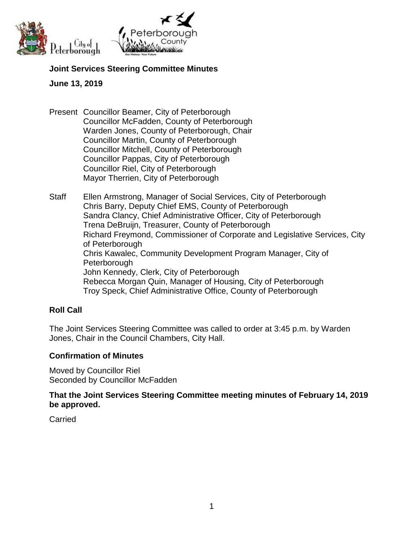



#### **Joint Services Steering Committee Minutes**

#### **June 13, 2019**

Present Councillor Beamer, City of Peterborough Councillor McFadden, County of Peterborough Warden Jones, County of Peterborough, Chair Councillor Martin, County of Peterborough Councillor Mitchell, County of Peterborough Councillor Pappas, City of Peterborough Councillor Riel, City of Peterborough Mayor Therrien, City of Peterborough

Staff Ellen Armstrong, Manager of Social Services, City of Peterborough Chris Barry, Deputy Chief EMS, County of Peterborough Sandra Clancy, Chief Administrative Officer, City of Peterborough Trena DeBruijn, Treasurer, County of Peterborough Richard Freymond, Commissioner of Corporate and Legislative Services, City of Peterborough Chris Kawalec, Community Development Program Manager, City of **Peterborough** John Kennedy, Clerk, City of Peterborough Rebecca Morgan Quin, Manager of Housing, City of Peterborough Troy Speck, Chief Administrative Office, County of Peterborough

## **Roll Call**

The Joint Services Steering Committee was called to order at 3:45 p.m. by Warden Jones, Chair in the Council Chambers, City Hall.

#### **Confirmation of Minutes**

Moved by Councillor Riel Seconded by Councillor McFadden

**That the Joint Services Steering Committee meeting minutes of February 14, 2019 be approved.**

**Carried**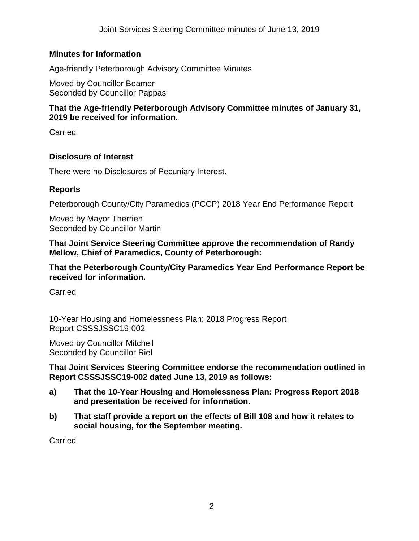# **Minutes for Information**

Age-friendly Peterborough Advisory Committee Minutes

Moved by Councillor Beamer Seconded by Councillor Pappas

## **That the Age-friendly Peterborough Advisory Committee minutes of January 31, 2019 be received for information.**

**Carried** 

## **Disclosure of Interest**

There were no Disclosures of Pecuniary Interest.

## **Reports**

Peterborough County/City Paramedics (PCCP) 2018 Year End Performance Report

Moved by Mayor Therrien Seconded by Councillor Martin

**That Joint Service Steering Committee approve the recommendation of Randy Mellow, Chief of Paramedics, County of Peterborough:**

**That the Peterborough County/City Paramedics Year End Performance Report be received for information.**

Carried

10-Year Housing and Homelessness Plan: 2018 Progress Report Report CSSSJSSC19-002

Moved by Councillor Mitchell Seconded by Councillor Riel

**That Joint Services Steering Committee endorse the recommendation outlined in Report CSSSJSSC19-002 dated June 13, 2019 as follows:**

- **a) That the 10-Year Housing and Homelessness Plan: Progress Report 2018 and presentation be received for information.**
- **b) That staff provide a report on the effects of Bill 108 and how it relates to social housing, for the September meeting.**

**Carried**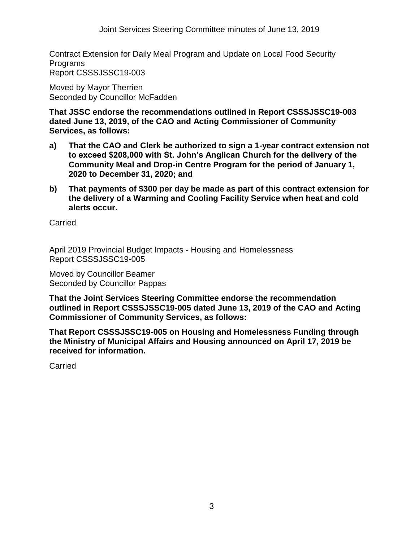Joint Services Steering Committee minutes of June 13, 2019

Contract Extension for Daily Meal Program and Update on Local Food Security Programs Report CSSSJSSC19-003

Moved by Mayor Therrien Seconded by Councillor McFadden

**That JSSC endorse the recommendations outlined in Report CSSSJSSC19-003 dated June 13, 2019, of the CAO and Acting Commissioner of Community Services, as follows:**

- **a) That the CAO and Clerk be authorized to sign a 1-year contract extension not to exceed \$208,000 with St. John's Anglican Church for the delivery of the Community Meal and Drop-in Centre Program for the period of January 1, 2020 to December 31, 2020; and**
- **b) That payments of \$300 per day be made as part of this contract extension for the delivery of a Warming and Cooling Facility Service when heat and cold alerts occur.**

**Carried** 

April 2019 Provincial Budget Impacts - Housing and Homelessness Report CSSSJSSC19-005

Moved by Councillor Beamer Seconded by Councillor Pappas

**That the Joint Services Steering Committee endorse the recommendation outlined in Report CSSSJSSC19-005 dated June 13, 2019 of the CAO and Acting Commissioner of Community Services, as follows:**

**That Report CSSSJSSC19-005 on Housing and Homelessness Funding through the Ministry of Municipal Affairs and Housing announced on April 17, 2019 be received for information.**

Carried